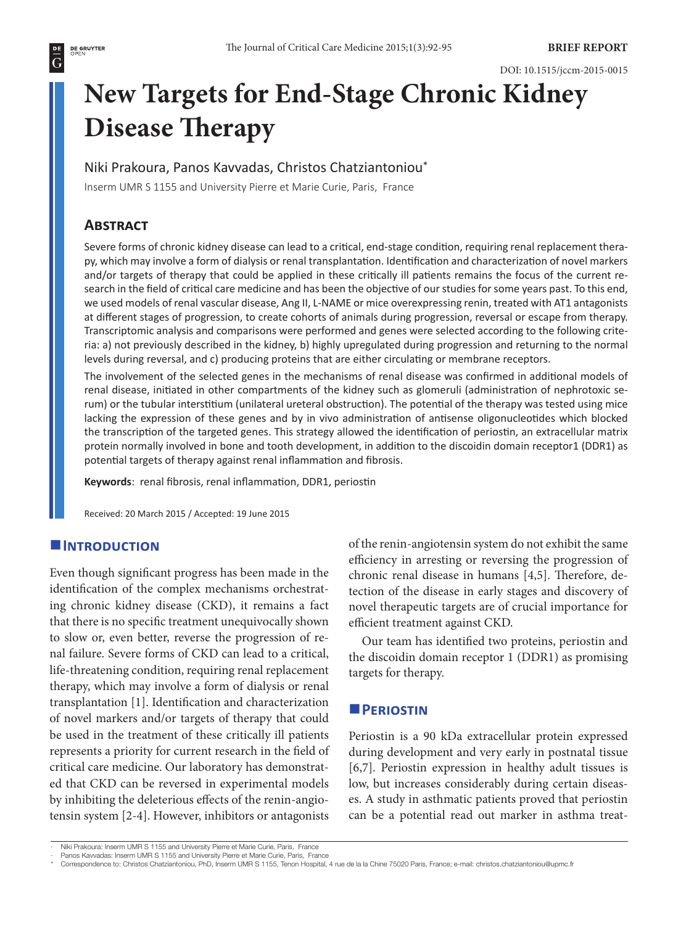# **New Targets for End-Stage Chronic Kidney Disease Therapy**

Niki Prakoura, Panos Kavvadas, Christos Chatziantoniou\*

Inserm UMR S 1155 and University Pierre et Marie Curie, Paris, France

# **Abstract**

Severe forms of chronic kidney disease can lead to a critical, end-stage condition, requiring renal replacement therapy, which may involve a form of dialysis or renal transplantation. Identification and characterization of novel markers and/or targets of therapy that could be applied in these critically ill patients remains the focus of the current research in the field of critical care medicine and has been the objective of our studies for some years past. To this end, we used models of renal vascular disease, Ang II, L-NAME or mice overexpressing renin, treated with AT1 antagonists at different stages of progression, to create cohorts of animals during progression, reversal or escape from therapy. Transcriptomic analysis and comparisons were performed and genes were selected according to the following criteria: a) not previously described in the kidney, b) highly upregulated during progression and returning to the normal levels during reversal, and c) producing proteins that are either circulating or membrane receptors.

The involvement of the selected genes in the mechanisms of renal disease was confirmed in additional models of renal disease, initiated in other compartments of the kidney such as glomeruli (administration of nephrotoxic serum) or the tubular interstitium (unilateral ureteral obstruction). The potential of the therapy was tested using mice lacking the expression of these genes and by in vivo administration of antisense oligonucleotides which blocked the transcription of the targeted genes. This strategy allowed the identification of periostin, an extracellular matrix protein normally involved in bone and tooth development, in addition to the discoidin domain receptor1 (DDR1) as potential targets of therapy against renal inflammation and fibrosis.

**Keywords**: renal fibrosis, renal inflammation, DDR1, periostin

Received: 20 March 2015 / Accepted: 19 June 2015

## **Introduction**

Even though significant progress has been made in the identification of the complex mechanisms orchestrating chronic kidney disease (CKD), it remains a fact that there is no specific treatment unequivocally shown to slow or, even better, reverse the progression of renal failure. Severe forms of CKD can lead to a critical, life-threatening condition, requiring renal replacement therapy, which may involve a form of dialysis or renal transplantation [1]. Identification and characterization of novel markers and/or targets of therapy that could be used in the treatment of these critically ill patients represents a priority for current research in the field of critical care medicine. Our laboratory has demonstrated that CKD can be reversed in experimental models by inhibiting the deleterious effects of the renin-angiotensin system [2-4]. However, inhibitors or antagonists

of the renin-angiotensin system do not exhibit the same efficiency in arresting or reversing the progression of chronic renal disease in humans [4,5]. Therefore, detection of the disease in early stages and discovery of novel therapeutic targets are of crucial importance for efficient treatment against CKD.

Our team has identified two proteins, periostin and the discoidin domain receptor 1 (DDR1) as promising targets for therapy.

### **PERIOSTIN**

Periostin is a 90 kDa extracellular protein expressed during development and very early in postnatal tissue [6,7]. Periostin expression in healthy adult tissues is low, but increases considerably during certain diseases. A study in asthmatic patients proved that periostin can be a potential read out marker in asthma treat-

<sup>·</sup> Niki Prakoura: Inserm UMR S 1155 and University Pierre et Marie Curie, Paris, France

<sup>·</sup> Panos Kavvadas: Inserm UMR S 1155 and University Pierre et Marie Curie, Paris, France

<sup>\*</sup> Correspondence to: Christos Chatziantoniou, PhD, Inserm UMR S 1155, Tenon Hospital, 4 rue de la la Chine 75020 Paris, France; e-mail: christos.chatziantoniou@upmc.fr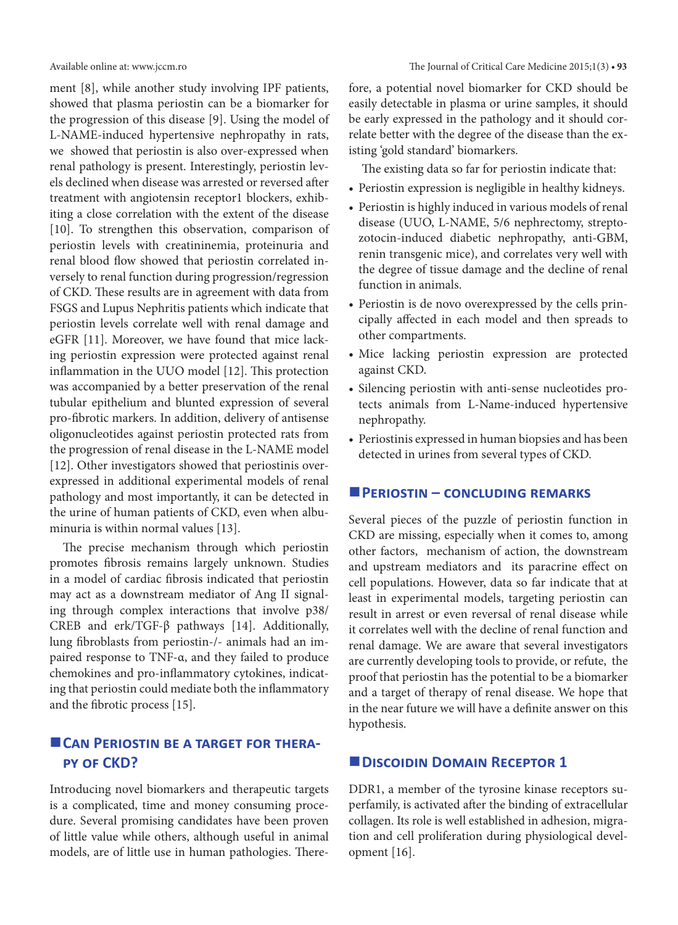ment [8], while another study involving IPF patients, showed that plasma periostin can be a biomarker for the progression of this disease [9]. Using the model of L-NAME-induced hypertensive nephropathy in rats, we showed that periostin is also over-expressed when renal pathology is present. Interestingly, periostin levels declined when disease was arrested or reversed after treatment with angiotensin receptor1 blockers, exhibiting a close correlation with the extent of the disease [10]. To strengthen this observation, comparison of periostin levels with creatininemia, proteinuria and renal blood flow showed that periostin correlated inversely to renal function during progression/regression of CKD. These results are in agreement with data from FSGS and Lupus Nephritis patients which indicate that periostin levels correlate well with renal damage and eGFR [11]. Moreover, we have found that mice lacking periostin expression were protected against renal inflammation in the UUO model [12]. This protection was accompanied by a better preservation of the renal tubular epithelium and blunted expression of several pro-fibrotic markers. In addition, delivery of antisense oligonucleotides against periostin protected rats from the progression of renal disease in the L-NAME model [12]. Other investigators showed that periostinis overexpressed in additional experimental models of renal pathology and most importantly, it can be detected in the urine of human patients of CKD, even when albuminuria is within normal values [13].

The precise mechanism through which periostin promotes fibrosis remains largely unknown. Studies in a model of cardiac fibrosis indicated that periostin may act as a downstream mediator of Ang II signaling through complex interactions that involve p38/ CREB and erk/TGF-β pathways [14]. Additionally, lung fibroblasts from periostin-/- animals had an impaired response to TNF-α, and they failed to produce chemokines and pro-inflammatory cytokines, indicating that periostin could mediate both the inflammatory and the fibrotic process [15].

# **CAN PERIOSTIN BE A TARGET FOR THERApy of CKD?**

Introducing novel biomarkers and therapeutic targets is a complicated, time and money consuming procedure. Several promising candidates have been proven of little value while others, although useful in animal models, are of little use in human pathologies. Therefore, a potential novel biomarker for CKD should be easily detectable in plasma or urine samples, it should be early expressed in the pathology and it should correlate better with the degree of the disease than the existing 'gold standard' biomarkers.

The existing data so far for periostin indicate that:

- Periostin expression is negligible in healthy kidneys.
- Periostin is highly induced in various models of renal disease (UUO, L-NAME, 5/6 nephrectomy, streptozotocin-induced diabetic nephropathy, anti-GBM, renin transgenic mice), and correlates very well with the degree of tissue damage and the decline of renal function in animals.
- • Periostin is de novo overexpressed by the cells principally affected in each model and then spreads to other compartments.
- • Mice lacking periostin expression are protected against CKD.
- • Silencing periostin with anti-sense nucleotides protects animals from L-Name-induced hypertensive nephropathy.
- Periostinis expressed in human biopsies and has been detected in urines from several types of CKD.

#### **Periostin – concluding remarks**

Several pieces of the puzzle of periostin function in CKD are missing, especially when it comes to, among other factors, mechanism of action, the downstream and upstream mediators and its paracrine effect on cell populations. However, data so far indicate that at least in experimental models, targeting periostin can result in arrest or even reversal of renal disease while it correlates well with the decline of renal function and renal damage. We are aware that several investigators are currently developing tools to provide, or refute, the proof that periostin has the potential to be a biomarker and a target of therapy of renal disease. We hope that in the near future we will have a definite answer on this hypothesis.

### $\blacksquare$  DISCOIDIN DOMAIN RECEPTOR 1

DDR1, a member of the tyrosine kinase receptors superfamily, is activated after the binding of extracellular collagen. Its role is well established in adhesion, migration and cell proliferation during physiological development [16].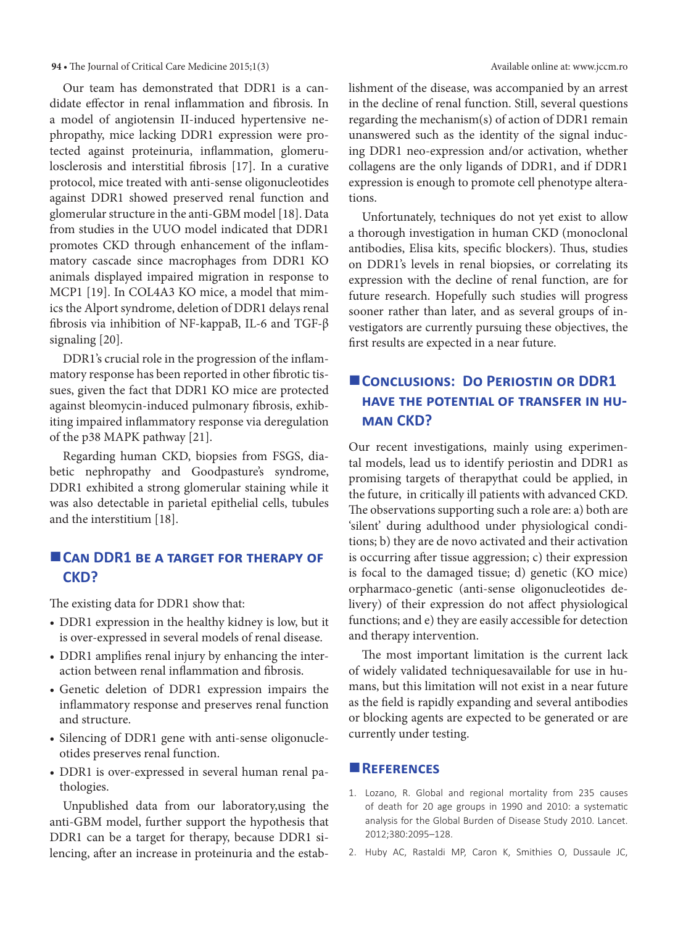#### **94 •** The Journal of Critical Care Medicine 2015;1(3) Available online at: www.jccm.ro

Our team has demonstrated that DDR1 is a candidate effector in renal inflammation and fibrosis. In a model of angiotensin II-induced hypertensive nephropathy, mice lacking DDR1 expression were protected against proteinuria, inflammation, glomerulosclerosis and interstitial fibrosis [17]. In a curative protocol, mice treated with anti-sense oligonucleotides against DDR1 showed preserved renal function and glomerular structure in the anti-GBM model [18]. Data from studies in the UUO model indicated that DDR1 promotes CKD through enhancement of the inflammatory cascade since macrophages from DDR1 KO animals displayed impaired migration in response to MCP1 [19]. In COL4A3 KO mice, a model that mimics the Alport syndrome, deletion of DDR1 delays renal fibrosis via inhibition of NF-kappaB, IL-6 and TGF-β signaling [20].

DDR1's crucial role in the progression of the inflammatory response has been reported in other fibrotic tissues, given the fact that DDR1 KO mice are protected against bleomycin-induced pulmonary fibrosis, exhibiting impaired inflammatory response via deregulation of the p38 MAPK pathway [21].

Regarding human CKD, biopsies from FSGS, diabetic nephropathy and Goodpasture's syndrome, DDR1 exhibited a strong glomerular staining while it was also detectable in parietal epithelial cells, tubules and the interstitium [18].

# **CAN DDR1 BE A TARGET FOR THERAPY OF CKD?**

The existing data for DDR1 show that:

- DDR1 expression in the healthy kidney is low, but it is over-expressed in several models of renal disease.
- DDR1 amplifies renal injury by enhancing the interaction between renal inflammation and fibrosis.
- • Genetic deletion of DDR1 expression impairs the inflammatory response and preserves renal function and structure.
- Silencing of DDR1 gene with anti-sense oligonucleotides preserves renal function.
- DDR1 is over-expressed in several human renal pathologies.

Unpublished data from our laboratory,using the anti-GBM model, further support the hypothesis that DDR1 can be a target for therapy, because DDR1 silencing, after an increase in proteinuria and the establishment of the disease, was accompanied by an arrest in the decline of renal function. Still, several questions regarding the mechanism(s) of action of DDR1 remain unanswered such as the identity of the signal inducing DDR1 neo-expression and/or activation, whether collagens are the only ligands of DDR1, and if DDR1 expression is enough to promote cell phenotype alterations.

Unfortunately, techniques do not yet exist to allow a thorough investigation in human CKD (monoclonal antibodies, Elisa kits, specific blockers). Thus, studies on DDR1's levels in renal biopsies, or correlating its expression with the decline of renal function, are for future research. Hopefully such studies will progress sooner rather than later, and as several groups of investigators are currently pursuing these objectives, the first results are expected in a near future.

# **Conclusions: Do Periostin or DDR1 have the potential of transfer in human CKD?**

Our recent investigations, mainly using experimental models, lead us to identify periostin and DDR1 as promising targets of therapythat could be applied, in the future, in critically ill patients with advanced CKD. The observations supporting such a role are: a) both are 'silent' during adulthood under physiological conditions; b) they are de novo activated and their activation is occurring after tissue aggression; c) their expression is focal to the damaged tissue; d) genetic (KO mice) orpharmaco-genetic (anti-sense oligonucleotides delivery) of their expression do not affect physiological functions; and e) they are easily accessible for detection and therapy intervention.

The most important limitation is the current lack of widely validated techniquesavailable for use in humans, but this limitation will not exist in a near future as the field is rapidly expanding and several antibodies or blocking agents are expected to be generated or are currently under testing.

#### **References**

- 1. Lozano, R. Global and regional mortality from 235 causes of death for 20 age groups in 1990 and 2010: a systematic analysis for the Global Burden of Disease Study 2010. Lancet. 2012;380:2095–128.
- 2. Huby AC, Rastaldi MP, Caron K, Smithies O, Dussaule JC,